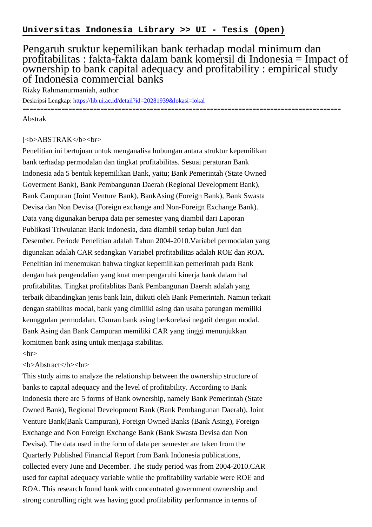## Pengaruh sruktur kepemilikan bank terhadap modal minimum dan profitabilitas : fakta-fakta dalam bank komersil di Indonesia = Impact of ownership to bank capital adequacy and profitability : empirical study of Indonesia commercial banks

Rizky Rahmanurmaniah, author

Deskripsi Lengkap:<https://lib.ui.ac.id/detail?id=20281939&lokasi=lokal>

------------------------------------------------------------------------------------------

Abstrak

## [<b>ABSTRAK</b><br/>shr>

Penelitian ini bertujuan untuk menganalisa hubungan antara struktur kepemilikan bank terhadap permodalan dan tingkat profitabilitas. Sesuai peraturan Bank Indonesia ada 5 bentuk kepemilikan Bank, yaitu; Bank Pemerintah (State Owned Goverment Bank), Bank Pembangunan Daerah (Regional Development Bank), Bank Campuran (Joint Venture Bank), BankAsing (Foreign Bank), Bank Swasta Devisa dan Non Devisa (Foreign exchange and Non-Foreign Exchange Bank). Data yang digunakan berupa data per semester yang diambil dari Laporan Publikasi Triwulanan Bank Indonesia, data diambil setiap bulan Juni dan Desember. Periode Penelitian adalah Tahun 2004-2010.Variabel permodalan yang digunakan adalah CAR sedangkan Variabel profitabilitas adalah ROE dan ROA. Penelitian ini menemukan bahwa tingkat kepemilikan pemerintah pada Bank dengan hak pengendalian yang kuat mempengaruhi kinerja bank dalam hal profitabilitas. Tingkat profitablitas Bank Pembangunan Daerah adalah yang terbaik dibandingkan jenis bank lain, diikuti oleh Bank Pemerintah. Namun terkait dengan stabilitas modal, bank yang dimiliki asing dan usaha patungan memiliki keunggulan permodalan. Ukuran bank asing berkorelasi negatif dengan modal. Bank Asing dan Bank Campuran memiliki CAR yang tinggi menunjukkan komitmen bank asing untuk menjaga stabilitas.

## $\langle$ hr $>$

## <b>Abstract</b><br>

This study aims to analyze the relationship between the ownership structure of banks to capital adequacy and the level of profitability. According to Bank Indonesia there are 5 forms of Bank ownership, namely Bank Pemerintah (State Owned Bank), Regional Development Bank (Bank Pembangunan Daerah), Joint Venture Bank(Bank Campuran), Foreign Owned Banks (Bank Asing), Foreign Exchange and Non Foreign Exchange Bank (Bank Swasta Devisa dan Non Devisa). The data used in the form of data per semester are taken from the Quarterly Published Financial Report from Bank Indonesia publications, collected every June and December. The study period was from 2004-2010.CAR used for capital adequacy variable while the profitability variable were ROE and ROA. This research found bank with concentrated government ownership and strong controlling right was having good profitability performance in terms of